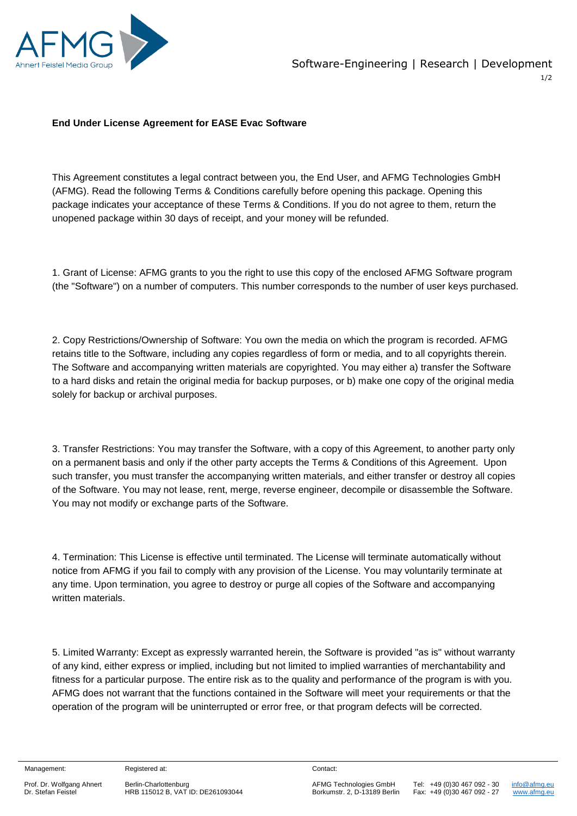

## **End Under License Agreement for EASE Evac Software**

This Agreement constitutes a legal contract between you, the End User, and AFMG Technologies GmbH (AFMG). Read the following Terms & Conditions carefully before opening this package. Opening this package indicates your acceptance of these Terms & Conditions. If you do not agree to them, return the unopened package within 30 days of receipt, and your money will be refunded.

1. Grant of License: AFMG grants to you the right to use this copy of the enclosed AFMG Software program (the "Software") on a number of computers. This number corresponds to the number of user keys purchased.

2. Copy Restrictions/Ownership of Software: You own the media on which the program is recorded. AFMG retains title to the Software, including any copies regardless of form or media, and to all copyrights therein. The Software and accompanying written materials are copyrighted. You may either a) transfer the Software to a hard disks and retain the original media for backup purposes, or b) make one copy of the original media solely for backup or archival purposes.

3. Transfer Restrictions: You may transfer the Software, with a copy of this Agreement, to another party only on a permanent basis and only if the other party accepts the Terms & Conditions of this Agreement. Upon such transfer, you must transfer the accompanying written materials, and either transfer or destroy all copies of the Software. You may not lease, rent, merge, reverse engineer, decompile or disassemble the Software. You may not modify or exchange parts of the Software.

4. Termination: This License is effective until terminated. The License will terminate automatically without notice from AFMG if you fail to comply with any provision of the License. You may voluntarily terminate at any time. Upon termination, you agree to destroy or purge all copies of the Software and accompanying written materials.

5. Limited Warranty: Except as expressly warranted herein, the Software is provided "as is" without warranty of any kind, either express or implied, including but not limited to implied warranties of merchantability and fitness for a particular purpose. The entire risk as to the quality and performance of the program is with you. AFMG does not warrant that the functions contained in the Software will meet your requirements or that the operation of the program will be uninterrupted or error free, or that program defects will be corrected.

Management:

Registered at:

 Prof. Dr. Wolfgang Ahnert Dr. Stefan Feistel

Berlin-Charlottenburg HRB 115012 B, VAT ID: DE261093044 Contact:

Tel: +49 (0)30 467 092 - 30 Fax: +49 (0)30 467 092 - 27  [info@afmg.eu](mailto:info@afmg.eu) www.afmg.eu